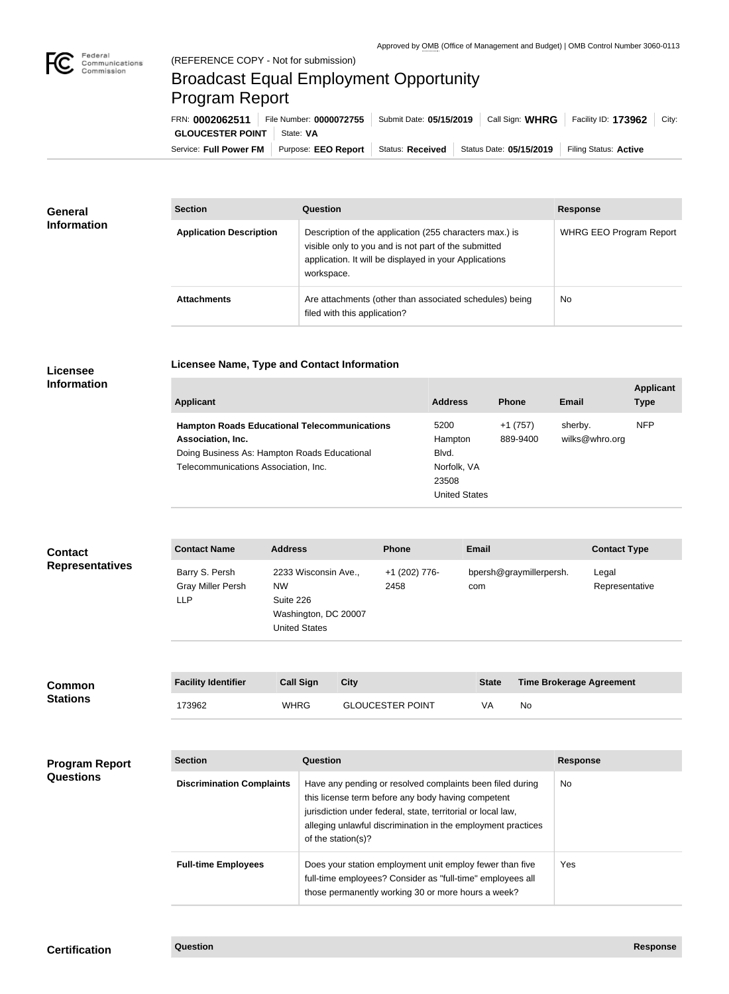

## Broadcast Equal Employment Opportunity Program Report

**Licensee Name, Type and Contact Information**

| FRN: 0002062511                     | File Number: 0000072755   Submit Date: 05/15/2019               |  | Call Sign: WHRG         | Facility ID: 173962   | $\mid$ City: |
|-------------------------------------|-----------------------------------------------------------------|--|-------------------------|-----------------------|--------------|
| <b>GLOUCESTER POINT</b>   State: VA |                                                                 |  |                         |                       |              |
|                                     | Service: Full Power FM   Purpose: EEO Report   Status: Received |  | Status Date: 05/15/2019 | Filing Status: Active |              |

| <b>General</b><br><b>Information</b> | <b>Section</b>                 | <b>Question</b>                                                                                                                                                                         | <b>Response</b>                |
|--------------------------------------|--------------------------------|-----------------------------------------------------------------------------------------------------------------------------------------------------------------------------------------|--------------------------------|
|                                      | <b>Application Description</b> | Description of the application (255 characters max.) is<br>visible only to you and is not part of the submitted<br>application. It will be displayed in your Applications<br>workspace. | <b>WHRG EEO Program Report</b> |
|                                      | <b>Attachments</b>             | Are attachments (other than associated schedules) being<br>filed with this application?                                                                                                 | <b>No</b>                      |

## **Licensee Information**

| <b>Applicant</b>                                                                                                                                                 | <b>Address</b>                                                    | <b>Phone</b>          | Email                     | <b>Applicant</b><br><b>Type</b> |
|------------------------------------------------------------------------------------------------------------------------------------------------------------------|-------------------------------------------------------------------|-----------------------|---------------------------|---------------------------------|
| <b>Hampton Roads Educational Telecommunications</b><br>Association, Inc.<br>Doing Business As: Hampton Roads Educational<br>Telecommunications Association, Inc. | 5200<br>Hampton<br>Blvd.<br>Norfolk, VA<br>23508<br>United States | $+1(757)$<br>889-9400 | sherby.<br>wilks@whro.org | <b>NFP</b>                      |

| <b>Contact</b>                            | <b>Contact Name</b>                                      | <b>Address</b>                                 |                                                                                                                                                                                                                                                                       |             | <b>Phone</b>                                                                                                                                                                 | <b>Email</b>                   |    |                 | <b>Contact Type</b>             |
|-------------------------------------------|----------------------------------------------------------|------------------------------------------------|-----------------------------------------------------------------------------------------------------------------------------------------------------------------------------------------------------------------------------------------------------------------------|-------------|------------------------------------------------------------------------------------------------------------------------------------------------------------------------------|--------------------------------|----|-----------------|---------------------------------|
| <b>Representatives</b>                    | Barry S. Persh<br><b>Gray Miller Persh</b><br><b>LLP</b> | <b>NW</b><br>Suite 226<br><b>United States</b> | 2233 Wisconsin Ave.,<br>Washington, DC 20007                                                                                                                                                                                                                          |             | +1 (202) 776-<br>2458                                                                                                                                                        | bpersh@graymillerpersh.<br>com |    |                 | Legal<br>Representative         |
| <b>Common</b><br><b>Stations</b>          | <b>Facility Identifier</b>                               | <b>Call Sign</b>                               |                                                                                                                                                                                                                                                                       | <b>City</b> |                                                                                                                                                                              | <b>State</b>                   |    |                 | <b>Time Brokerage Agreement</b> |
|                                           | 173962                                                   | <b>WHRG</b>                                    |                                                                                                                                                                                                                                                                       |             | <b>GLOUCESTER POINT</b>                                                                                                                                                      | VA                             | No |                 |                                 |
|                                           |                                                          |                                                |                                                                                                                                                                                                                                                                       |             |                                                                                                                                                                              |                                |    |                 |                                 |
| <b>Program Report</b><br><b>Questions</b> | <b>Section</b>                                           |                                                | Question                                                                                                                                                                                                                                                              |             |                                                                                                                                                                              |                                |    | <b>Response</b> |                                 |
|                                           | <b>Discrimination Complaints</b>                         |                                                | Have any pending or resolved complaints been filed during<br>this license term before any body having competent<br>jurisdiction under federal, state, territorial or local law,<br>alleging unlawful discrimination in the employment practices<br>of the station(s)? |             |                                                                                                                                                                              |                                |    | <b>No</b>       |                                 |
|                                           | <b>Full-time Employees</b>                               |                                                |                                                                                                                                                                                                                                                                       |             | Does your station employment unit employ fewer than five<br>full-time employees? Consider as "full-time" employees all<br>those permanently working 30 or more hours a week? |                                |    | <b>Yes</b>      |                                 |